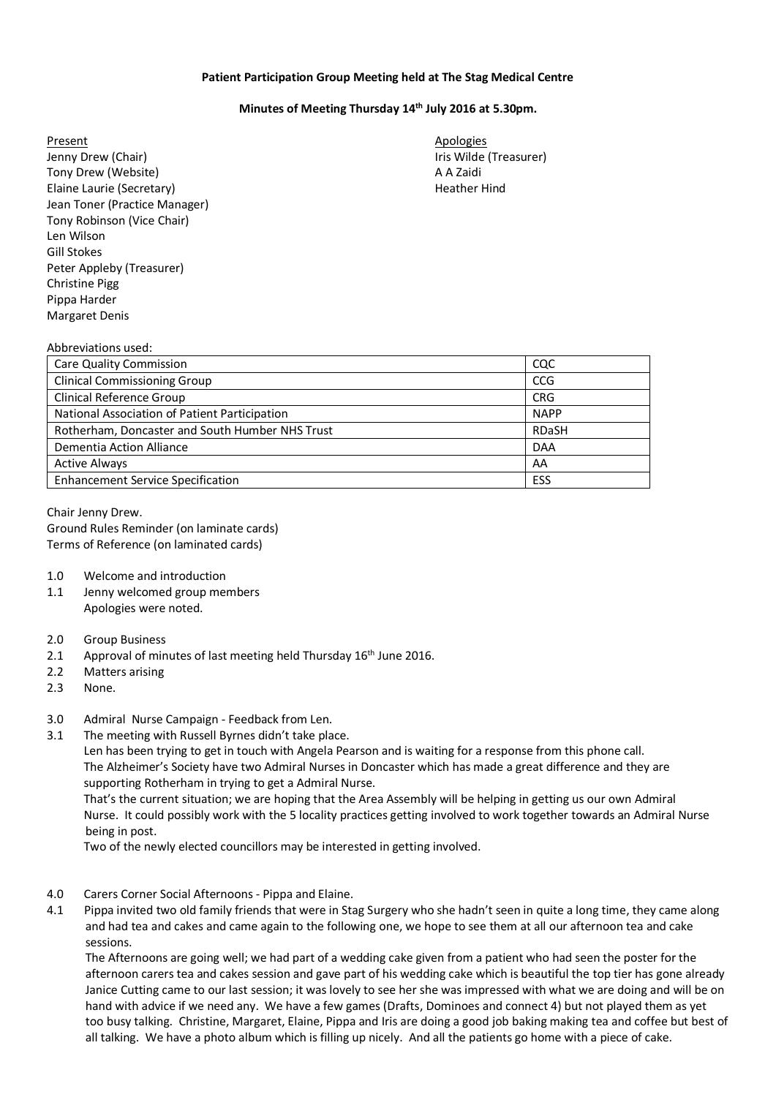## **Patient Participation Group Meeting held at The Stag Medical Centre**

## **Minutes of Meeting Thursday 14th July 2016 at 5.30pm.**

Present Apologies and Apologies and Apologies and Apologies and Apologies and Apologies and Apologies and Apologies Jenny Drew (Chair) **Iris Wilde (Treasurer)** Iris Wilde (Treasurer) Tony Drew (Website) A A Zaidi Elaine Laurie (Secretary) and the extendion of the Hindustan Heather Hindustan Hindustan Hindustan Hindustan Hindustan Hindustan Hindustan Hindustan Hindustan Hindustan Hindustan Hindustan Hindustan Hindustan Hindustan Hin Jean Toner (Practice Manager) Tony Robinson (Vice Chair) Len Wilson Gill Stokes Peter Appleby (Treasurer) Christine Pigg Pippa Harder Margaret Denis

## Abbreviations used:

| Care Quality Commission                         | coc         |
|-------------------------------------------------|-------------|
| <b>Clinical Commissioning Group</b>             | CCG         |
| Clinical Reference Group                        | <b>CRG</b>  |
| National Association of Patient Participation   | <b>NAPP</b> |
| Rotherham, Doncaster and South Humber NHS Trust | RDaSH       |
| Dementia Action Alliance                        | <b>DAA</b>  |
| <b>Active Always</b>                            | AA          |
| <b>Enhancement Service Specification</b>        | ESS         |

Chair Jenny Drew. Ground Rules Reminder (on laminate cards) Terms of Reference (on laminated cards)

- 1.0 Welcome and introduction
- 1.1 Jenny welcomed group members Apologies were noted.
- 2.0 Group Business
- 2.1 Approval of minutes of last meeting held Thursday 16<sup>th</sup> June 2016.
- 2.2 Matters arising
- 2.3 None.
- 3.0 Admiral Nurse Campaign Feedback from Len.
- 3.1 The meeting with Russell Byrnes didn't take place.

Len has been trying to get in touch with Angela Pearson and is waiting for a response from this phone call. The Alzheimer's Society have two Admiral Nurses in Doncaster which has made a great difference and they are supporting Rotherham in trying to get a Admiral Nurse.

That's the current situation; we are hoping that the Area Assembly will be helping in getting us our own Admiral Nurse. It could possibly work with the 5 locality practices getting involved to work together towards an Admiral Nurse being in post.

Two of the newly elected councillors may be interested in getting involved.

- 4.0 Carers Corner Social Afternoons Pippa and Elaine.
- 4.1 Pippa invited two old family friends that were in Stag Surgery who she hadn't seen in quite a long time, they came along and had tea and cakes and came again to the following one, we hope to see them at all our afternoon tea and cake sessions.

 The Afternoons are going well; we had part of a wedding cake given from a patient who had seen the poster for the afternoon carers tea and cakes session and gave part of his wedding cake which is beautiful the top tier has gone already Janice Cutting came to our last session; it was lovely to see her she was impressed with what we are doing and will be on hand with advice if we need any. We have a few games (Drafts, Dominoes and connect 4) but not played them as yet too busy talking. Christine, Margaret, Elaine, Pippa and Iris are doing a good job baking making tea and coffee but best of all talking. We have a photo album which is filling up nicely. And all the patients go home with a piece of cake.